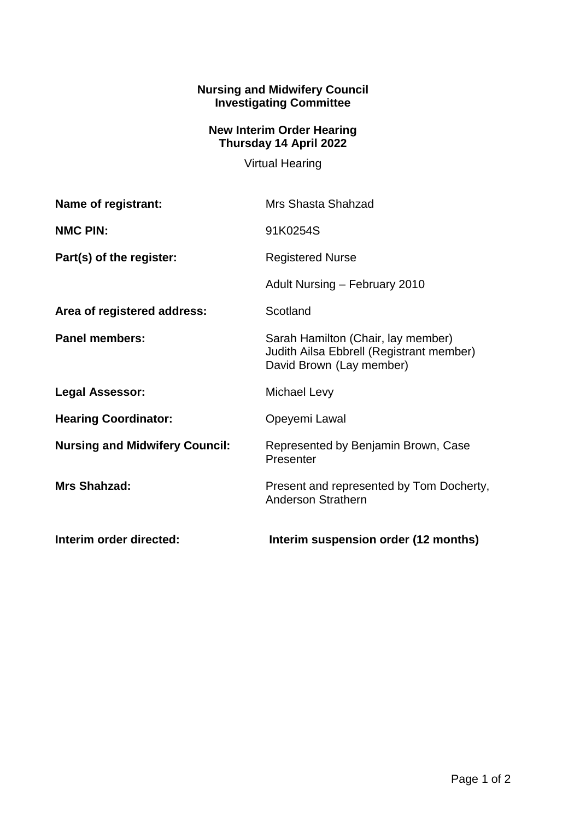## **Nursing and Midwifery Council Investigating Committee**

## **New Interim Order Hearing Thursday 14 April 2022**

Virtual Hearing

| Name of registrant:                   | Mrs Shasta Shahzad                                                                                         |
|---------------------------------------|------------------------------------------------------------------------------------------------------------|
| <b>NMC PIN:</b>                       | 91K0254S                                                                                                   |
| Part(s) of the register:              | <b>Registered Nurse</b>                                                                                    |
|                                       | Adult Nursing - February 2010                                                                              |
| Area of registered address:           | Scotland                                                                                                   |
| <b>Panel members:</b>                 | Sarah Hamilton (Chair, lay member)<br>Judith Ailsa Ebbrell (Registrant member)<br>David Brown (Lay member) |
| <b>Legal Assessor:</b>                | Michael Levy                                                                                               |
| <b>Hearing Coordinator:</b>           | Opeyemi Lawal                                                                                              |
| <b>Nursing and Midwifery Council:</b> | Represented by Benjamin Brown, Case<br>Presenter                                                           |
| <b>Mrs Shahzad:</b>                   | Present and represented by Tom Docherty,<br><b>Anderson Strathern</b>                                      |
| Interim order directed:               | Interim suspension order (12 months)                                                                       |